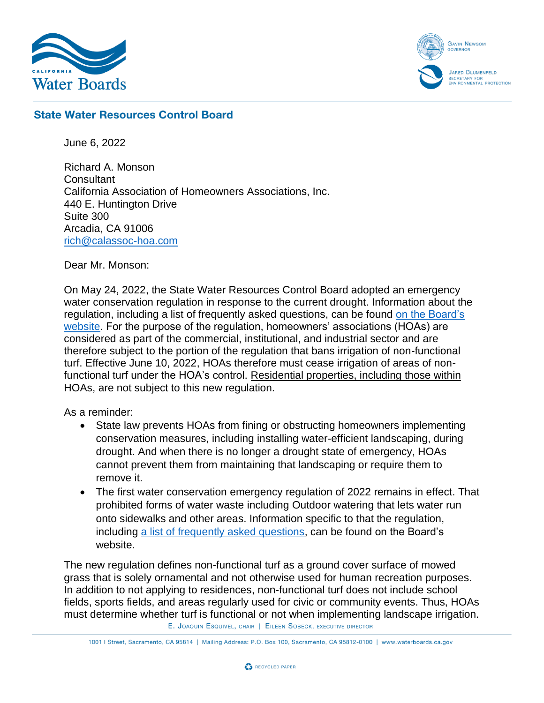



## **State Water Resources Control Board**

June 6, 2022

Richard A. Monson **Consultant** California Association of Homeowners Associations, Inc. 440 E. Huntington Drive Suite 300 Arcadia, CA 91006 [rich@calassoc-hoa.com](mailto:rich@calassoc-hoa.com)

Dear Mr. Monson:

On May 24, 2022, the State Water Resources Control Board adopted an emergency water conservation regulation in response to the current drought. Information about the regulation, including a list of frequently asked questions, can be found [on the Board's](https://www.waterboards.ca.gov/water_issues/programs/conservation_portal/regs/emergency_regulation.html)  [website.](https://www.waterboards.ca.gov/water_issues/programs/conservation_portal/regs/emergency_regulation.html) For the purpose of the regulation, homeowners' associations (HOAs) are considered as part of the commercial, institutional, and industrial sector and are therefore subject to the portion of the regulation that bans irrigation of non-functional turf. Effective June 10, 2022, HOAs therefore must cease irrigation of areas of nonfunctional turf under the HOA's control. Residential properties, including those within HOAs, are not subject to this new regulation.

As a reminder:

- State law prevents HOAs from fining or obstructing homeowners implementing conservation measures, including installing water-efficient landscaping, during drought. And when there is no longer a drought state of emergency, HOAs cannot prevent them from maintaining that landscaping or require them to remove it.
- The first water conservation emergency regulation of 2022 remains in effect. That prohibited forms of water waste including Outdoor watering that lets water run onto sidewalks and other areas. Information specific to that the regulation, including [a list of frequently asked questions,](https://www.waterboards.ca.gov/water_issues/programs/conservation_portal/regs/docs/2022-28-01-emreg-faqs-english.pdf) can be found on the Board's website.

The new regulation defines non-functional turf as a ground cover surface of mowed grass that is solely ornamental and not otherwise used for human recreation purposes. In addition to not applying to residences, non-functional turf does not include school fields, sports fields, and areas regularly used for civic or community events. Thus, HOAs must determine whether turf is functional or not when implementing landscape irrigation. E. JOAQUIN ESQUIVEL, CHAIR | EILEEN SOBECK, EXECUTIVE DIRECTOR